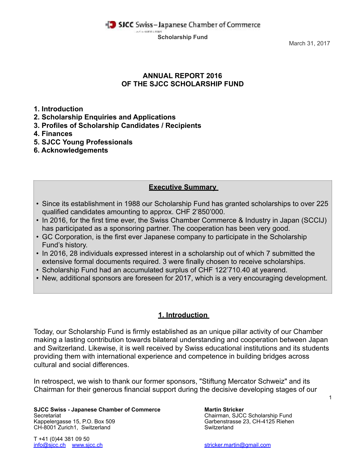**Scholarship Fund**

March 31, 2017

## **ANNUAL REPORT 2016 OF THE SJCC SCHOLARSHIP FUND**

**1. Introduction** 

- **2. Scholarship Enquiries and Applications**
- **3. Profiles of Scholarship Candidates / Recipients**
- **4. Finances**
- **5. SJCC Young Professionals**
- **6. Acknowledgements**

## **Executive Summary**

- Since its establishment in 1988 our Scholarship Fund has granted scholarships to over 225 qualified candidates amounting to approx. CHF 2'850'000.
- In 2016, for the first time ever, the Swiss Chamber Commerce & Industry in Japan (SCCIJ) has participated as a sponsoring partner. The cooperation has been very good.
- GC Corporation, is the first ever Japanese company to participate in the Scholarship Fund's history.
- In 2016, 28 individuals expressed interest in a scholarship out of which 7 submitted the extensive formal documents required. 3 were finally chosen to receive scholarships.
- Scholarship Fund had an accumulated surplus of CHF 122'710.40 at yearend.
- New, additional sponsors are foreseen for 2017, which is a very encouraging development.

# **1. Introduction**

Today, our Scholarship Fund is firmly established as an unique pillar activity of our Chamber making a lasting contribution towards bilateral understanding and cooperation between Japan and Switzerland. Likewise, it is well received by Swiss educational institutions and its students providing them with international experience and competence in building bridges across cultural and social differences.

In retrospect, we wish to thank our former sponsors, "Stiftung Mercator Schweiz" and its Chairman for their generous financial support during the decisive developing stages of our

**SJCC Swiss - Japanese Chamber of Commerce Martin Stricker** Secretariat Chairman, SJCC Scholarship Fund<br>
Kappelergasse 15, P.O. Box 509 Chairman, SJCC Scholarship Fund<br>
Carbenstrasse 23, CH-4125 Rieher CH-8001 Zurich1, Switzerland Switzerland Switzerland Switzerland

T +41 (0)44 381 09 50 [info@sjcc.ch](mailto:info@sjcc.ch) [www.sjcc.ch](http://www.sjcc.ch) [stricker.martin@gmail.com](mailto:stricker.martin@gmail.com)

Garbenstrasse 23, CH-4125 Riehen

1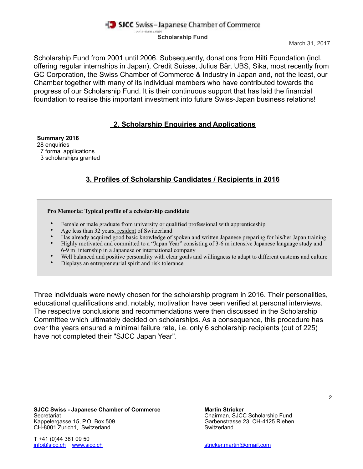### **Scholarship Fund**

Scholarship Fund from 2001 until 2006. Subsequently, donations from Hilti Foundation (incl. offering regular internships in Japan), Credit Suisse, Julius Bär, UBS, Sika, most recently from GC Corporation, the Swiss Chamber of Commerce & Industry in Japan and, not the least, our Chamber together with many of its individual members who have contributed towards the progress of our Scholarship Fund. It is their continuous support that has laid the financial foundation to realise this important investment into future Swiss-Japan business relations!

### **2. Scholarship Enquiries and Applications**

#### **Summary 2016**

- 28 enquiries
- 7 formal applications
- 3 scholarships granted

# **3. Profiles of Scholarship Candidates / Recipients in 2016**

### **Pro Memoria: Typical profile of a ccholarship candidate**

- Female or male graduate from university or qualified professional with apprenticeship
- Age less than 32 years, resident of Switzerland
- Has already acquired good basic knowledge of spoken and written Japanese preparing for his/her Japan training
- Highly motivated and committed to a "Japan Year" consisting of 3-6 m intensive Japanese language study and 6-9 m internship in a Japanese or international company
- Well balanced and positive personality with clear goals and willingness to adapt to different customs and culture
- Displays an entrepreneurial spirit and risk tolerance

Three individuals were newly chosen for the scholarship program in 2016. Their personalities, educational qualifications and, notably, motivation have been verified at personal interviews. The respective conclusions and recommendations were then discussed in the Scholarship Committee which ultimately decided on scholarships. As a consequence, this procedure has over the years ensured a minimal failure rate, i.e. only 6 scholarship recipients (out of 225) have not completed their "SJCC Japan Year".

**SJCC Swiss - Japanese Chamber of Commerce Martin Stricker** Secretariat Chairman, SJCC Scholarship Fund<br>
Kappelergasse 15, P.O. Box 509 Chairman, SJCC Scholarship Fund<br>
Carbenstrasse 23, CH-4125 Rieher CH-8001 Zurich1, Switzerland Switzerland Switzerland Switzerland

T +41 (0)44 381 09 50 [info@sjcc.ch](mailto:info@sjcc.ch) [www.sjcc.ch](http://www.sjcc.ch) [stricker.martin@gmail.com](mailto:stricker.martin@gmail.com)

Garbenstrasse 23, CH-4125 Riehen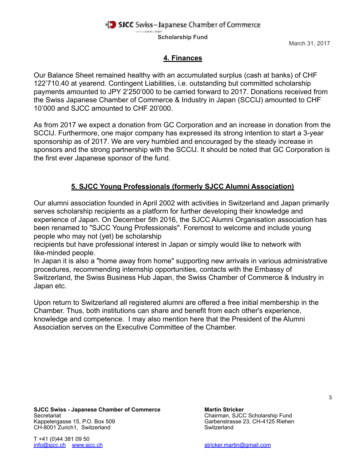**Scholarship Fund**

March 31, 2017

## **4. Finances**

Our Balance Sheet remained healthy with an accumulated surplus (cash at banks) of CHF 122'710.40 at yearend. Contingent Liabilities, i.e. outstanding but committed scholarship payments amounted to JPY 2'250'000 to be carried forward to 2017. Donations received from the Swiss Japanese Chamber of Commerce & Industry in Japan (SCCIJ) amounted to CHF 10'000 and SJCC amounted to CHF 20'000.

As from 2017 we expect a donation from GC Corporation and an increase in donation from the SCCIJ. Furthermore, one major company has expressed its strong intention to start a 3-year sponsorship as of 2017. We are very humbled and encouraged by the steady increase in sponsors and the strong partnership with the SCCIJ. It should be noted that GC Corporation is the first ever Japanese sponsor of the fund.

## **5. SJCC Young Professionals (formerly SJCC Alumni Association)**

Our alumni association founded in April 2002 with activities in Switzerland and Japan primarily serves scholarship recipients as a platform for further developing their knowledge and experience of Japan. On December 5th 2016, the SJCC Alumni Organisation association has been renamed to "SJCC Young Professionals". Foremost to welcome and include young people who may not (yet) be scholarship

recipients but have professional interest in Japan or simply would like to network with like-minded people.

In Japan it is also a "home away from home" supporting new arrivals in various administrative procedures, recommending internship opportunities, contacts with the Embassy of Switzerland, the Swiss Business Hub Japan, the Swiss Chamber of Commerce & Industry in Japan etc.

Upon return to Switzerland all registered alumni are offered a free initial membership in the Chamber. Thus, both institutions can share and benefit from each other's experience, knowledge and competence. I may also mention here that the President of the Alumni Association serves on the Executive Committee of the Chamber.

**SJCC Swiss - Japanese Chamber of Commerce Martin Stricker** Secretariat <sup>1</sup><br>
Secretariat Chairman, SJCC Scholarship Fund<br>
Carbenstrasse 23, CH-4125 Riehen CH-8001 Zurich1, Switzerland Switzerland Switzerland Switzerland

T +41 (0)44 381 09 50 [info@sjcc.ch](mailto:info@sjcc.ch) [www.sjcc.ch](http://www.sjcc.ch) [stricker.martin@gmail.com](mailto:stricker.martin@gmail.com)

Garbenstrasse 23, CH-4125 Riehen